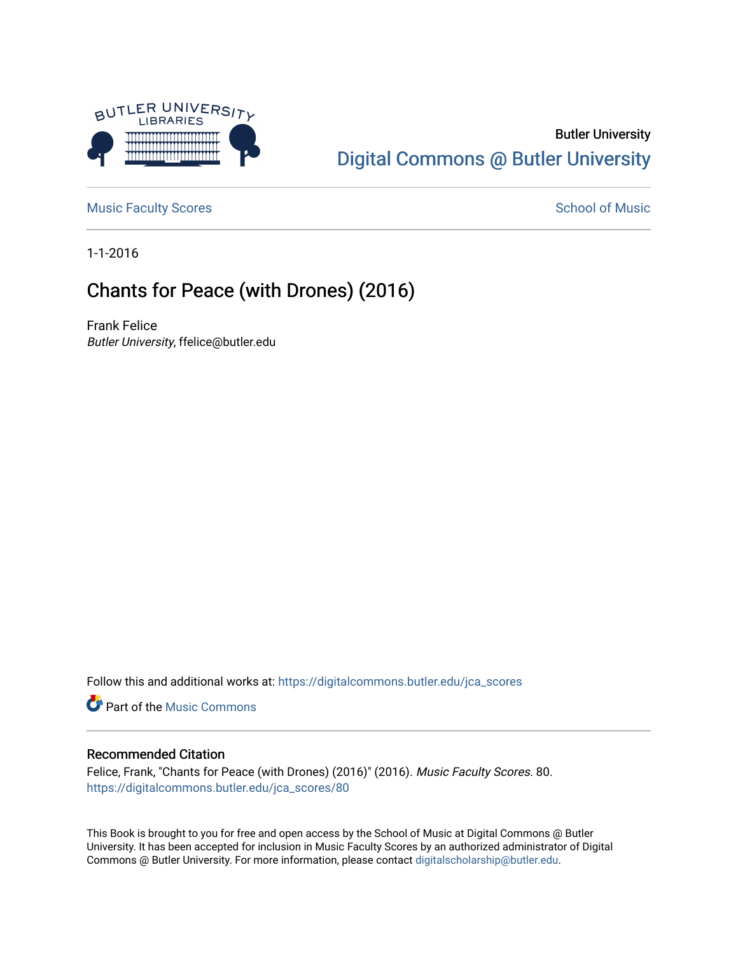

### Butler University [Digital Commons @ Butler University](https://digitalcommons.butler.edu/)

[Music Faculty Scores](https://digitalcommons.butler.edu/jca_scores) and [School of Music](https://digitalcommons.butler.edu/jcamusic) School of Music

1-1-2016

# Chants for Peace (with Drones) (2016)

Frank Felice Butler University, ffelice@butler.edu

Follow this and additional works at: [https://digitalcommons.butler.edu/jca\\_scores](https://digitalcommons.butler.edu/jca_scores?utm_source=digitalcommons.butler.edu%2Fjca_scores%2F80&utm_medium=PDF&utm_campaign=PDFCoverPages)

**Part of the Music Commons** 

### Recommended Citation

Felice, Frank, "Chants for Peace (with Drones) (2016)" (2016). Music Faculty Scores. 80. [https://digitalcommons.butler.edu/jca\\_scores/80](https://digitalcommons.butler.edu/jca_scores/80?utm_source=digitalcommons.butler.edu%2Fjca_scores%2F80&utm_medium=PDF&utm_campaign=PDFCoverPages) 

This Book is brought to you for free and open access by the School of Music at Digital Commons @ Butler University. It has been accepted for inclusion in Music Faculty Scores by an authorized administrator of Digital Commons @ Butler University. For more information, please contact [digitalscholarship@butler.edu](mailto:digitalscholarship@butler.edu).